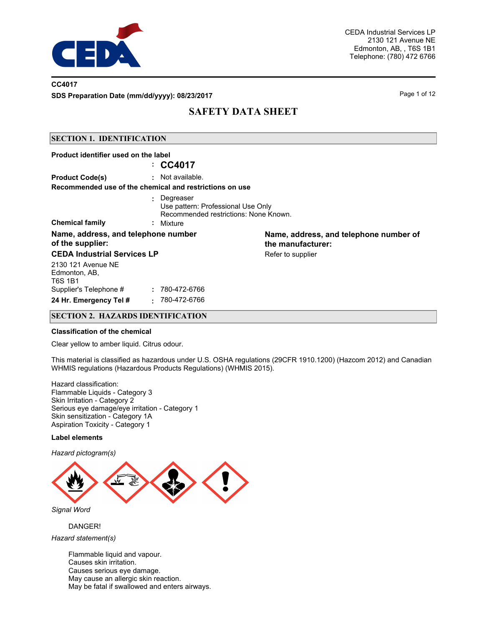

### **CC4017**

**SDS Preparation Date (mm/dd/yyyy): 08/23/2017** Page 1 of 12

# **SAFETY DATA SHEET**

### **SECTION 1. IDENTIFICATION**

| Product identifier used on the label                    |                                                                                                         |                                                             |
|---------------------------------------------------------|---------------------------------------------------------------------------------------------------------|-------------------------------------------------------------|
|                                                         | $\therefore$ CC4017                                                                                     |                                                             |
| <b>Product Code(s)</b>                                  | $:$ Not available.                                                                                      |                                                             |
|                                                         | Recommended use of the chemical and restrictions on use                                                 |                                                             |
| <b>Chemical family</b>                                  | : Degreaser<br>Use pattern: Professional Use Only<br>Recommended restrictions: None Known.<br>: Mixture |                                                             |
| Name, address, and telephone number<br>of the supplier: |                                                                                                         | Name, address, and telephone number of<br>the manufacturer: |
| <b>CEDA Industrial Services LP</b>                      |                                                                                                         | Refer to supplier                                           |
| 2130 121 Avenue NE<br>Edmonton, AB,<br>T6S 1B1          |                                                                                                         |                                                             |
| Supplier's Telephone #                                  | : 780-472-6766                                                                                          |                                                             |
| 24 Hr. Emergency Tel #                                  | 780-472-6766<br>٠.                                                                                      |                                                             |

### **SECTION 2. HAZARDS IDENTIFICATION**

#### **Classification of the chemical**

Clear yellow to amber liquid. Citrus odour.

This material is classified as hazardous under U.S. OSHA regulations (29CFR 1910.1200) (Hazcom 2012) and Canadian WHMIS regulations (Hazardous Products Regulations) (WHMIS 2015).

Hazard classification: Flammable Liquids - Category 3 Skin Irritation - Category 2 Serious eye damage/eye irritation - Category 1 Skin sensitization - Category 1A Aspiration Toxicity - Category 1

#### **Label elements**

*Hazard pictogram(s)*



*Signal Word*

### DANGER!

*Hazard statement(s)*

Flammable liquid and vapour. Causes skin irritation. Causes serious eye damage. May cause an allergic skin reaction. May be fatal if swallowed and enters airways.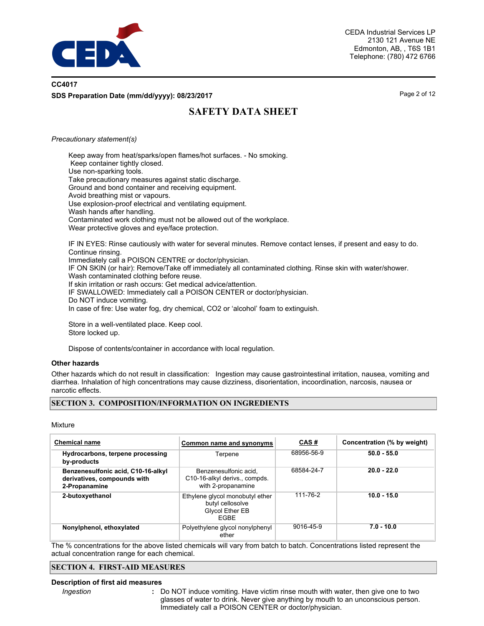

### **CC4017 SDS Preparation Date (mm/dd/yyyy): 08/23/2017** Page 2 of 12

# **SAFETY DATA SHEET**

### *Precautionary statement(s)*

Keep away from heat/sparks/open flames/hot surfaces. - No smoking. Keep container tightly closed. Use non-sparking tools. Take precautionary measures against static discharge. Ground and bond container and receiving equipment. Avoid breathing mist or vapours. Use explosion-proof electrical and ventilating equipment. Wash hands after handling. Contaminated work clothing must not be allowed out of the workplace. Wear protective gloves and eye/face protection. IF IN EYES: Rinse cautiously with water for several minutes. Remove contact lenses, if present and easy to do.

Continue rinsing. Immediately call a POISON CENTRE or doctor/physician. IF ON SKIN (or hair): Remove/Take off immediately all contaminated clothing. Rinse skin with water/shower. Wash contaminated clothing before reuse. If skin irritation or rash occurs: Get medical advice/attention. IF SWALLOWED: Immediately call a POISON CENTER or doctor/physician. Do NOT induce vomiting. In case of fire: Use water fog, dry chemical, CO2 or 'alcohol' foam to extinguish.

Store in a well-ventilated place. Keep cool. Store locked up.

Dispose of contents/container in accordance with local regulation.

### **Other hazards**

Other hazards which do not result in classification: Ingestion may cause gastrointestinal irritation, nausea, vomiting and diarrhea. Inhalation of high concentrations may cause dizziness, disorientation, incoordination, narcosis, nausea or narcotic effects.

### **SECTION 3. COMPOSITION/INFORMATION ON INGREDIENTS**

#### Mixture

| <b>Chemical name</b>                                                               | Common name and synonyms                                                       | <u>CAS#</u> | Concentration (% by weight) |
|------------------------------------------------------------------------------------|--------------------------------------------------------------------------------|-------------|-----------------------------|
| Hydrocarbons, terpene processing<br>by-products                                    | Terpene                                                                        | 68956-56-9  | $50.0 - 55.0$               |
| Benzenesulfonic acid, C10-16-alkyl<br>derivatives, compounds with<br>2-Propanamine | Benzenesulfonic acid.<br>C10-16-alkyl derivs., compds.<br>with 2-propanamine   | 68584-24-7  | $20.0 - 22.0$               |
| 2-butoxyethanol                                                                    | Ethylene glycol monobutyl ether<br>butyl cellosolve<br>Glycol Ether EB<br>FGBF | 111-76-2    | $10.0 - 15.0$               |
| Nonylphenol, ethoxylated                                                           | Polyethylene glycol nonylphenyl<br>ether                                       | 9016-45-9   | $7.0 - 10.0$                |

The % concentrations for the above listed chemicals will vary from batch to batch. Concentrations listed represent the actual concentration range for each chemical.

### **SECTION 4. FIRST-AID MEASURES**

#### **Description of first aid measures**

*Ingestion* **:**

Do NOT induce vomiting. Have victim rinse mouth with water, then give one to two glasses of water to drink. Never give anything by mouth to an unconscious person. Immediately call a POISON CENTER or doctor/physician.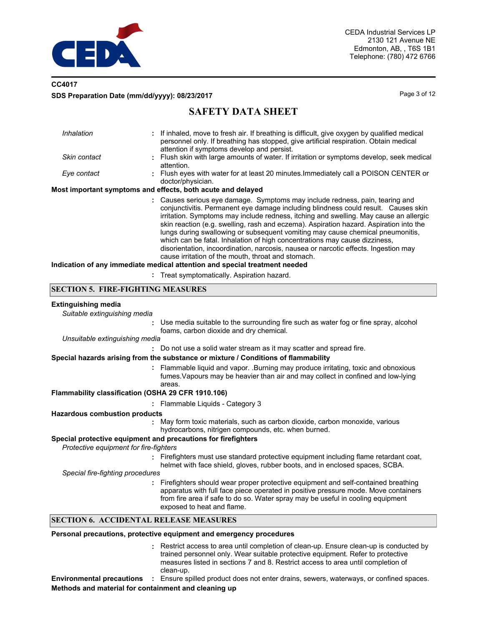

### **CC4017 SDS Preparation Date (mm/dd/yyyy): 08/23/2017** Page 3 of 12

# **SAFETY DATA SHEET**

| Inhalation   | : If inhaled, move to fresh air. If breathing is difficult, give oxygen by qualified medical<br>personnel only. If breathing has stopped, give artificial respiration. Obtain medical<br>attention if symptoms develop and persist.                                                                                                                                                                                                                                                                                                                                                                                                                                |
|--------------|--------------------------------------------------------------------------------------------------------------------------------------------------------------------------------------------------------------------------------------------------------------------------------------------------------------------------------------------------------------------------------------------------------------------------------------------------------------------------------------------------------------------------------------------------------------------------------------------------------------------------------------------------------------------|
| Skin contact | : Flush skin with large amounts of water. If irritation or symptoms develop, seek medical<br>attention.                                                                                                                                                                                                                                                                                                                                                                                                                                                                                                                                                            |
| Eye contact  | : Flush eyes with water for at least 20 minutes. Immediately call a POISON CENTER or<br>doctor/physician.                                                                                                                                                                                                                                                                                                                                                                                                                                                                                                                                                          |
|              | Most important symptoms and effects, both acute and delayed                                                                                                                                                                                                                                                                                                                                                                                                                                                                                                                                                                                                        |
|              | : Causes serious eye damage. Symptoms may include redness, pain, tearing and<br>conjunctivitis. Permanent eye damage including blindness could result. Causes skin<br>irritation. Symptoms may include redness, itching and swelling. May cause an allergic<br>skin reaction (e.g. swelling, rash and eczema). Aspiration hazard. Aspiration into the<br>lungs during swallowing or subsequent vomiting may cause chemical pneumonitis.<br>which can be fatal. Inhalation of high concentrations may cause dizziness,<br>disorientation, incoordination, narcosis, nausea or narcotic effects. Ingestion may<br>cause irritation of the mouth, throat and stomach. |
|              | halication of any immediate medical attention and enecial treatment needed                                                                                                                                                                                                                                                                                                                                                                                                                                                                                                                                                                                         |

**ai attention and special treatment needed** 

**:** Treat symptomatically. Aspiration hazard.

### **SECTION 5. FIRE-FIGHTING MEASURES**

#### **Extinguishing media**

*Suitable extinguishing media*

**:** Use media suitable to the surrounding fire such as water fog or fine spray, alcohol foams, carbon dioxide and dry chemical.

*Unsuitable extinguishing media*

**:** Do not use a solid water stream as it may scatter and spread fire.

### **Special hazards arising from the substance or mixture / Conditions of flammability**

Flammable liquid and vapor. .Burning may produce irritating, toxic and obnoxious **:** fumes.Vapours may be heavier than air and may collect in confined and low-lying areas.

### **Flammability classification (OSHA 29 CFR 1910.106)**

**:** Flammable Liquids - Category 3

### **Hazardous combustion products**

May form toxic materials, such as carbon dioxide, carbon monoxide, various **:** hydrocarbons, nitrigen compounds, etc. when burned.

### **Special protective equipment and precautions for firefighters**

*Protective equipment for fire-fighters*

**:** Firefighters must use standard protective equipment including flame retardant coat, helmet with face shield, gloves, rubber boots, and in enclosed spaces, SCBA.

*Special fire-fighting procedures*

**:** Firefighters should wear proper protective equipment and self-contained breathing apparatus with full face piece operated in positive pressure mode. Move containers from fire area if safe to do so. Water spray may be useful in cooling equipment exposed to heat and flame.

### **SECTION 6. ACCIDENTAL RELEASE MEASURES**

#### **Personal precautions, protective equipment and emergency procedures**

Restrict access to area until completion of clean-up. Ensure clean-up is conducted by **:** trained personnel only. Wear suitable protective equipment. Refer to protective measures listed in sections 7 and 8. Restrict access to area until completion of clean-up.

**Environmental precautions :** Ensure spilled product does not enter drains, sewers, waterways, or confined spaces. **Methods and material for containment and cleaning up**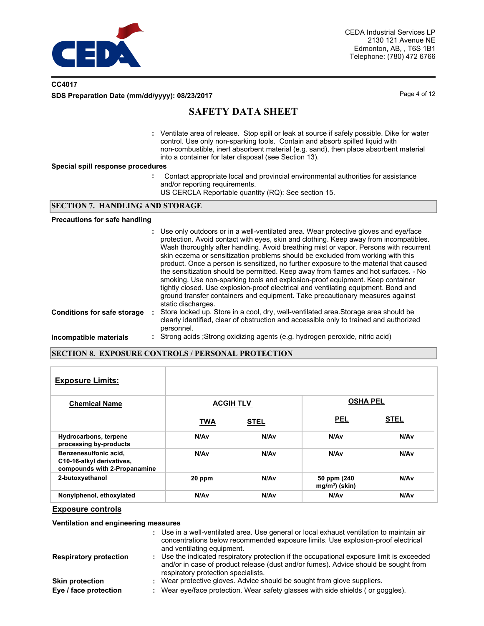

### **CC4017 SDS Preparation Date (mm/dd/yyyy): 08/23/2017** Page 4 of 12

# **SAFETY DATA SHEET**

Ventilate area of release. Stop spill or leak at source if safely possible. Dike for water **:** control. Use only non-sparking tools. Contain and absorb spilled liquid with non-combustible, inert absorbent material (e.g. sand), then place absorbent material into a container for later disposal (see Section 13).

#### **Special spill response procedures**

- **:** Contact appropriate local and provincial environmental authorities for assistance and/or reporting requirements.
	- US CERCLA Reportable quantity (RQ): See section 15.

### **SECTION 7. HANDLING AND STORAGE**

### **Precautions for safe handling**

|                                    | : Use only outdoors or in a well-ventilated area. Wear protective gloves and eye/face<br>protection. Avoid contact with eyes, skin and clothing. Keep away from incompatibles.<br>Wash thoroughly after handling. Avoid breathing mist or vapor. Persons with recurrent<br>skin eczema or sensitization problems should be excluded from working with this<br>product. Once a person is sensitized, no further exposure to the material that caused<br>the sensitization should be permitted. Keep away from flames and hot surfaces. - No<br>smoking. Use non-sparking tools and explosion-proof equipment. Keep container<br>tightly closed. Use explosion-proof electrical and ventilating equipment. Bond and<br>ground transfer containers and equipment. Take precautionary measures against<br>static discharges. |
|------------------------------------|--------------------------------------------------------------------------------------------------------------------------------------------------------------------------------------------------------------------------------------------------------------------------------------------------------------------------------------------------------------------------------------------------------------------------------------------------------------------------------------------------------------------------------------------------------------------------------------------------------------------------------------------------------------------------------------------------------------------------------------------------------------------------------------------------------------------------|
| <b>Conditions for safe storage</b> | : Store locked up. Store in a cool, dry, well-ventilated area. Storage area should be<br>clearly identified, clear of obstruction and accessible only to trained and authorized<br>personnel.                                                                                                                                                                                                                                                                                                                                                                                                                                                                                                                                                                                                                            |
| Incompatible materials             | : Strong acids ; Strong oxidizing agents (e.g. hydrogen peroxide, nitric acid)                                                                                                                                                                                                                                                                                                                                                                                                                                                                                                                                                                                                                                                                                                                                           |

### **SECTION 8. EXPOSURE CONTROLS / PERSONAL PROTECTION**

| <b>Exposure Limits:</b>                                                            |                  |                  |                                |             |
|------------------------------------------------------------------------------------|------------------|------------------|--------------------------------|-------------|
| <b>Chemical Name</b>                                                               |                  | <b>ACGIH TLV</b> | <b>OSHA PEL</b>                |             |
|                                                                                    | <b>TWA</b>       | <b>STEL</b>      | <b>PEL</b>                     | <b>STEL</b> |
| Hydrocarbons, terpene<br>processing by-products                                    | N/A <sub>v</sub> | N/Av             | N/Av                           | N/Av        |
| Benzenesulfonic acid,<br>C10-16-alkyl derivatives,<br>compounds with 2-Propanamine | N/A <sub>v</sub> | N/Av             | N/Av                           | N/Av        |
| 2-butoxyethanol                                                                    | 20 ppm           | N/Av             | 50 ppm (240)<br>$mg/m3$ (skin) | N/Av        |
| Nonylphenol, ethoxylated                                                           | N/A <sub>v</sub> | N/Av             | N/Av                           | N/Av        |

### **Exposure controls**

### **Ventilation and engineering measures**

|                               | : Use in a well-ventilated area. Use general or local exhaust ventilation to maintain air<br>concentrations below recommended exposure limits. Use explosion-proof electrical<br>and ventilating equipment.             |
|-------------------------------|-------------------------------------------------------------------------------------------------------------------------------------------------------------------------------------------------------------------------|
| <b>Respiratory protection</b> | : Use the indicated respiratory protection if the occupational exposure limit is exceeded<br>and/or in case of product release (dust and/or fumes). Advice should be sought from<br>respiratory protection specialists. |
| <b>Skin protection</b>        | : Wear protective gloves. Advice should be sought from glove suppliers.                                                                                                                                                 |
| Eye / face protection         | Wear eye/face protection. Wear safety glasses with side shields (or goggles).                                                                                                                                           |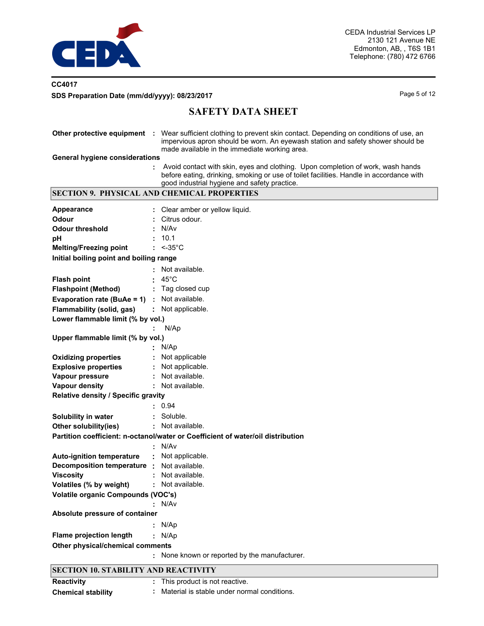

### **CC4017** SDS Preparation Date (mm/dd/yyyy): 08/23/2017 and the state of the page 5 of 12

# **SAFETY DATA SHEET**

|                                             | Other protective equipment : Wear sufficient clothing to prevent skin contact. Depending on conditions of use, an<br>impervious apron should be worn. An eyewash station and safety shower should be<br>made available in the immediate working area. |  |  |  |  |
|---------------------------------------------|-------------------------------------------------------------------------------------------------------------------------------------------------------------------------------------------------------------------------------------------------------|--|--|--|--|
| <b>General hygiene considerations</b>       |                                                                                                                                                                                                                                                       |  |  |  |  |
|                                             | Avoid contact with skin, eyes and clothing. Upon completion of work, wash hands<br>before eating, drinking, smoking or use of toilet facilities. Handle in accordance with<br>good industrial hygiene and safety practice.                            |  |  |  |  |
|                                             | <b>SECTION 9. PHYSICAL AND CHEMICAL PROPERTIES</b>                                                                                                                                                                                                    |  |  |  |  |
| <b>Appearance</b>                           | Clear amber or yellow liquid.                                                                                                                                                                                                                         |  |  |  |  |
| <b>Odour</b>                                | Citrus odour.                                                                                                                                                                                                                                         |  |  |  |  |
| <b>Odour threshold</b>                      | N/Av                                                                                                                                                                                                                                                  |  |  |  |  |
|                                             | 10.1                                                                                                                                                                                                                                                  |  |  |  |  |
| рH<br><b>Melting/Freezing point</b>         | $: < -35^{\circ}$ C                                                                                                                                                                                                                                   |  |  |  |  |
| Initial boiling point and boiling range     |                                                                                                                                                                                                                                                       |  |  |  |  |
|                                             |                                                                                                                                                                                                                                                       |  |  |  |  |
|                                             | Not available.                                                                                                                                                                                                                                        |  |  |  |  |
| <b>Flash point</b>                          | $45^{\circ}$ C                                                                                                                                                                                                                                        |  |  |  |  |
| <b>Flashpoint (Method)</b>                  | Tag closed cup                                                                                                                                                                                                                                        |  |  |  |  |
| Evaporation rate (BuAe = 1)                 | Not available.                                                                                                                                                                                                                                        |  |  |  |  |
| Flammability (solid, gas)                   | : Not applicable.                                                                                                                                                                                                                                     |  |  |  |  |
| Lower flammable limit (% by vol.)           |                                                                                                                                                                                                                                                       |  |  |  |  |
|                                             | N/Ap                                                                                                                                                                                                                                                  |  |  |  |  |
| Upper flammable limit (% by vol.)           |                                                                                                                                                                                                                                                       |  |  |  |  |
|                                             | N/Ap                                                                                                                                                                                                                                                  |  |  |  |  |
| <b>Oxidizing properties</b>                 | Not applicable                                                                                                                                                                                                                                        |  |  |  |  |
| <b>Explosive properties</b>                 | Not applicable.                                                                                                                                                                                                                                       |  |  |  |  |
| Vapour pressure                             | Not available.                                                                                                                                                                                                                                        |  |  |  |  |
| <b>Vapour density</b>                       | Not available.                                                                                                                                                                                                                                        |  |  |  |  |
| Relative density / Specific gravity         |                                                                                                                                                                                                                                                       |  |  |  |  |
|                                             | 0.94                                                                                                                                                                                                                                                  |  |  |  |  |
| Solubility in water                         | Soluble.                                                                                                                                                                                                                                              |  |  |  |  |
| Other solubility(ies)                       | Not available.                                                                                                                                                                                                                                        |  |  |  |  |
|                                             | Partition coefficient: n-octanol/water or Coefficient of water/oil distribution                                                                                                                                                                       |  |  |  |  |
|                                             | N/Av                                                                                                                                                                                                                                                  |  |  |  |  |
| <b>Auto-ignition temperature</b>            | Not applicable.                                                                                                                                                                                                                                       |  |  |  |  |
| Decomposition temperature :                 | Not available.                                                                                                                                                                                                                                        |  |  |  |  |
| <b>Viscosity</b>                            | Not available.                                                                                                                                                                                                                                        |  |  |  |  |
| Volatiles (% by weight)                     | Not available.                                                                                                                                                                                                                                        |  |  |  |  |
| <b>Volatile organic Compounds (VOC's)</b>   |                                                                                                                                                                                                                                                       |  |  |  |  |
|                                             | N/Av                                                                                                                                                                                                                                                  |  |  |  |  |
| Absolute pressure of container              |                                                                                                                                                                                                                                                       |  |  |  |  |
|                                             | N/Ap                                                                                                                                                                                                                                                  |  |  |  |  |
| <b>Flame projection length</b>              | N/Ap                                                                                                                                                                                                                                                  |  |  |  |  |
| Other physical/chemical comments            |                                                                                                                                                                                                                                                       |  |  |  |  |
|                                             | None known or reported by the manufacturer.                                                                                                                                                                                                           |  |  |  |  |
|                                             |                                                                                                                                                                                                                                                       |  |  |  |  |
| <b>SECTION 10. STABILITY AND REACTIVITY</b> |                                                                                                                                                                                                                                                       |  |  |  |  |

| Reactivity                | This product is not reactive.               |
|---------------------------|---------------------------------------------|
| <b>Chemical stability</b> | Material is stable under normal conditions. |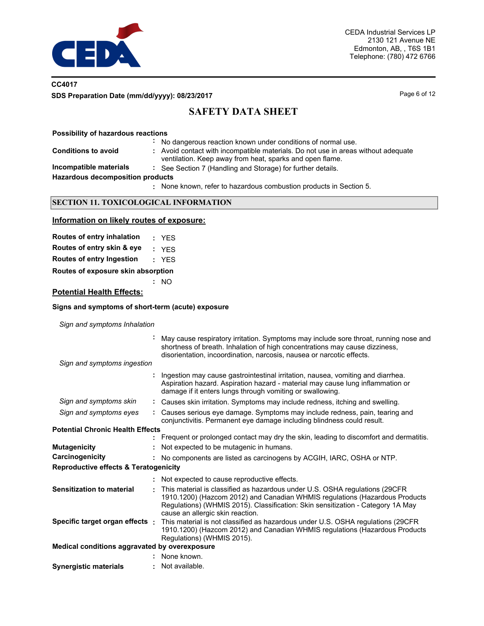

### **CC4017 SDS Preparation Date (mm/dd/yyyy): 08/23/2017** Page 6 of 12

# **SAFETY DATA SHEET**

### **Possibility of hazardous reactions**

**:** No dangerous reaction known under conditions of normal use.

- **:** Avoid contact with incompatible materials. Do not use in areas without adequate
- ventilation. Keep away from heat, sparks and open flame. **Incompatible materials :** See Section 7 (Handling and Storage) for further details.

**Hazardous decomposition products**

**Conditions to avoid** 

None known, refer to hazardous combustion products in Section 5. **:**

### **SECTION 11. TOXICOLOGICAL INFORMATION**

### **Information on likely routes of exposure:**

| Routes of entry inhalation         | : YFS |
|------------------------------------|-------|
| Routes of entry skin & eye         | : YFS |
| Routes of entry Ingestion          | : YFS |
| Routes of exposure skin absorption |       |

**:** NO

### **Potential Health Effects:**

### **Signs and symptoms of short-term (acute) exposure**

*Sign and symptoms Inhalation*

|                                                  | May cause respiratory irritation. Symptoms may include sore throat, running nose and<br>shortness of breath. Inhalation of high concentrations may cause dizziness,<br>disorientation, incoordination, narcosis, nausea or narcotic effects.                                       |
|--------------------------------------------------|------------------------------------------------------------------------------------------------------------------------------------------------------------------------------------------------------------------------------------------------------------------------------------|
| Sign and symptoms ingestion                      |                                                                                                                                                                                                                                                                                    |
|                                                  | Ingestion may cause gastrointestinal irritation, nausea, vomiting and diarrhea.<br>Aspiration hazard. Aspiration hazard - material may cause lung inflammation or<br>damage if it enters lungs through vomiting or swallowing.                                                     |
| Sign and symptoms skin                           | : Causes skin irritation. Symptoms may include redness, itching and swelling.                                                                                                                                                                                                      |
| Sign and symptoms eyes                           | Causes serious eye damage. Symptoms may include redness, pain, tearing and<br>conjunctivitis. Permanent eye damage including blindness could result.                                                                                                                               |
| <b>Potential Chronic Health Effects</b>          |                                                                                                                                                                                                                                                                                    |
|                                                  | : Frequent or prolonged contact may dry the skin, leading to discomfort and dermatitis.                                                                                                                                                                                            |
| <b>Mutagenicity</b>                              | Not expected to be mutagenic in humans.                                                                                                                                                                                                                                            |
| Carcinogenicity                                  | : No components are listed as carcinogens by ACGIH, IARC, OSHA or NTP.                                                                                                                                                                                                             |
| <b>Reproductive effects &amp; Teratogenicity</b> |                                                                                                                                                                                                                                                                                    |
|                                                  | : Not expected to cause reproductive effects.                                                                                                                                                                                                                                      |
| <b>Sensitization to material</b>                 | This material is classified as hazardous under U.S. OSHA regulations (29CFR)<br>1910.1200) (Hazcom 2012) and Canadian WHMIS regulations (Hazardous Products<br>Regulations) (WHMIS 2015). Classification: Skin sensitization - Category 1A May<br>cause an allergic skin reaction. |
| Specific target organ effects :                  | This material is not classified as hazardous under U.S. OSHA regulations (29CFR<br>1910.1200) (Hazcom 2012) and Canadian WHMIS regulations (Hazardous Products<br>Regulations) (WHMIS 2015).                                                                                       |
| Medical conditions aggravated by overexposure    |                                                                                                                                                                                                                                                                                    |
|                                                  | : None known.                                                                                                                                                                                                                                                                      |
| <b>Synergistic materials</b>                     | : Not available.                                                                                                                                                                                                                                                                   |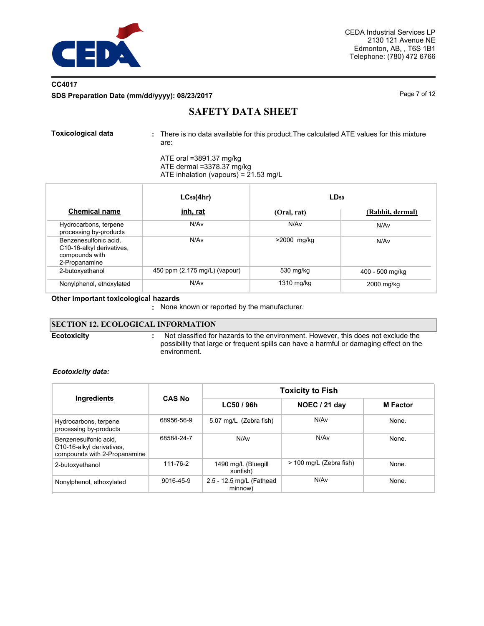

## **CC4017 SDS Preparation Date (mm/dd/yyyy): 08/23/2017** Page 7 of 12

# **SAFETY DATA SHEET**

There is no data available for this product.The calculated ATE values for this mixture are: **Toxicological data :**

ATE oral =3891.37 mg/kg

ATE dermal =3378.37 mg/kg ATE inhalation (vapours) = 21.53 mg/L

|                                                                                       | $LC_{50}(4hr)$                | LD <sub>50</sub> |                  |
|---------------------------------------------------------------------------------------|-------------------------------|------------------|------------------|
| <b>Chemical name</b>                                                                  | inh, rat                      | (Oral, rat)      | (Rabbit, dermal) |
| Hydrocarbons, terpene<br>processing by-products                                       | N/A <sub>v</sub>              | N/Av             | N/Av             |
| Benzenesulfonic acid,<br>C10-16-alkyl derivatives,<br>compounds with<br>2-Propanamine | N/A <sub>v</sub>              | >2000 mg/kg      | N/Av             |
| 2-butoxyethanol                                                                       | 450 ppm (2.175 mg/L) (vapour) | 530 mg/kg        | 400 - 500 mg/kg  |
| Nonylphenol, ethoxylated                                                              | N/A <sub>v</sub>              | 1310 mg/kg       | 2000 mg/kg       |

**Other important toxicologica**l **hazards**

**:** None known or reported by the manufacturer.

### **SECTION 12. ECOLOGICAL INFORMATION**

**Ecotoxicity :**

 Not classified for hazards to the environment. However, this does not exclude the possibility that large or frequent spills can have a harmful or damaging effect on the environment.

*Ecotoxicity data:*

|                                                                                    |               | <b>Toxicity to Fish</b>             |                         |                 |  |  |
|------------------------------------------------------------------------------------|---------------|-------------------------------------|-------------------------|-----------------|--|--|
| Ingredients                                                                        | <b>CAS No</b> | LC50 / 96h                          | <b>NOEC / 21 day</b>    | <b>M</b> Factor |  |  |
| Hydrocarbons, terpene<br>processing by-products                                    | 68956-56-9    | 5.07 mg/L (Zebra fish)              | N/Av                    | None.           |  |  |
| Benzenesulfonic acid.<br>C10-16-alkyl derivatives,<br>compounds with 2-Propanamine | 68584-24-7    | N/Av                                | N/A <sub>v</sub>        | None.           |  |  |
| 2-butoxyethanol                                                                    | 111-76-2      | 1490 mg/L (Bluegill<br>sunfish)     | > 100 mg/L (Zebra fish) | None.           |  |  |
| Nonylphenol, ethoxylated                                                           | 9016-45-9     | 2.5 - 12.5 mg/L (Fathead<br>minnow) | N/Av                    | None.           |  |  |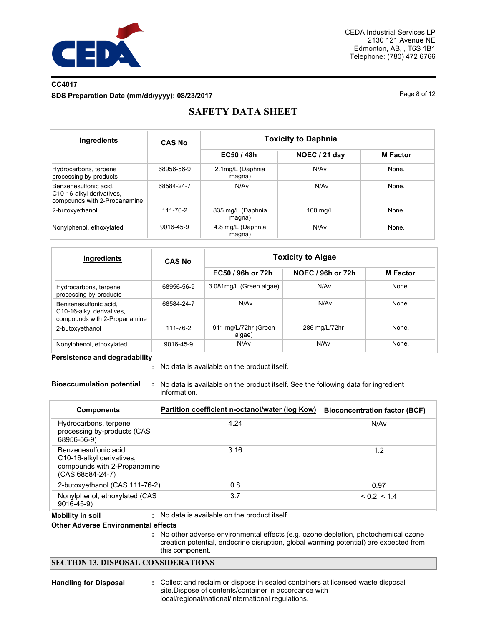

### **CC4017**

**SDS Preparation Date (mm/dd/yyyy): 08/23/2017** Page 8 of 12

# **SAFETY DATA SHEET**

| Ingredients                                                                        | <b>CAS No</b> | <b>Toxicity to Daphnia</b>  |               |                 |  |  |
|------------------------------------------------------------------------------------|---------------|-----------------------------|---------------|-----------------|--|--|
|                                                                                    |               | EC50 / 48h                  | NOEC / 21 day | <b>M</b> Factor |  |  |
| Hydrocarbons, terpene<br>processing by-products                                    | 68956-56-9    | 2.1mg/L (Daphnia<br>magna)  | N/Av          | None.           |  |  |
| Benzenesulfonic acid,<br>C10-16-alkyl derivatives,<br>compounds with 2-Propanamine | 68584-24-7    | N/Av                        | N/Av          | None.           |  |  |
| 2-butoxyethanol                                                                    | 111-76-2      | 835 mg/L (Daphnia<br>magna) | 100 mg/L      | None.           |  |  |
| Nonylphenol, ethoxylated                                                           | 9016-45-9     | 4.8 mg/L (Daphnia<br>magna) | N/Av          | None.           |  |  |

| Ingredients                                                                        | <b>CAS No</b> | <b>Toxicity to Algae</b>       |                   |                 |  |  |
|------------------------------------------------------------------------------------|---------------|--------------------------------|-------------------|-----------------|--|--|
|                                                                                    |               | EC50 / 96h or 72h              | NOEC / 96h or 72h | <b>M</b> Factor |  |  |
| Hydrocarbons, terpene<br>processing by-products                                    | 68956-56-9    | 3.081mg/L (Green algae)        | N/Av              | None.           |  |  |
| Benzenesulfonic acid.<br>C10-16-alkyl derivatives,<br>compounds with 2-Propanamine | 68584-24-7    | N/A <sub>v</sub>               | N/A <sub>v</sub>  | None.           |  |  |
| 2-butoxyethanol                                                                    | 111-76-2      | 911 mg/L/72hr (Green<br>algae) | 286 mg/L/72hr     | None.           |  |  |
| Nonylphenol, ethoxylated                                                           | 9016-45-9     | N/Av                           | N/Av              | None.           |  |  |

**Persistence and degradability**

No data is available on the product itself. **:**

**Bioaccumulation potential :** No data is available on the product itself. See the following data for ingredient information.

| <b>Components</b>                                                                                                   | Partition coefficient n-octanol/water (log Kow) | <b>Bioconcentration factor (BCF)</b> |
|---------------------------------------------------------------------------------------------------------------------|-------------------------------------------------|--------------------------------------|
| Hydrocarbons, terpene<br>processing by-products (CAS<br>68956-56-9)                                                 | 4.24                                            | N/A <sub>v</sub>                     |
| Benzenesulfonic acid.<br>C <sub>10</sub> -16-alkyl derivatives,<br>compounds with 2-Propanamine<br>(CAS 68584-24-7) | 3.16                                            | 1.2                                  |
| 2-butoxyethanol (CAS 111-76-2)                                                                                      | 0.8                                             | 0.97                                 |
| Nonylphenol, ethoxylated (CAS<br>$9016 - 45 - 9$                                                                    | 3.7                                             | < 0.2. < 1.4                         |
| <b>Mobility in soil</b><br><b>Other Adverse Environmental effects</b>                                               | : No data is available on the product itself.   |                                      |

No other adverse environmental effects (e.g. ozone depletion, photochemical ozone **:** creation potential, endocrine disruption, global warming potential) are expected from this component.

### **SECTION 13. DISPOSAL CONSIDERATIONS**

- 
- Handling for Disposal : Collect and reclaim or dispose in sealed containers at licensed waste disposal site.Dispose of contents/container in accordance with local/regional/national/international regulations.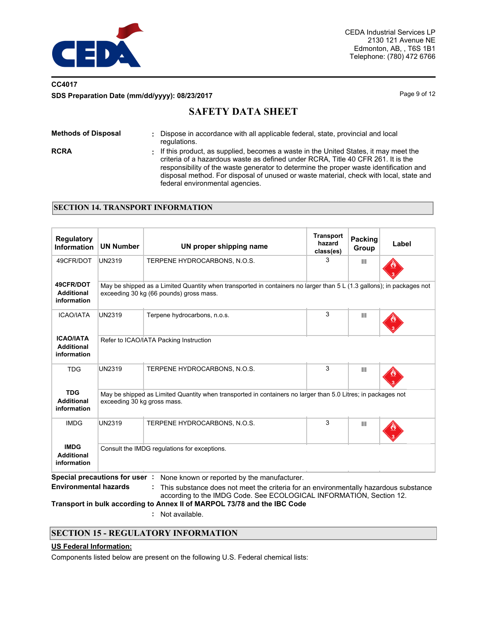

## **CC4017 SDS Preparation Date (mm/dd/yyyy): 08/23/2017** Page 9 of 12

# **SAFETY DATA SHEET**

| <b>Methods of Disposal</b> | Dispose in accordance with all applicable federal, state, provincial and local<br>regulations.                                                                                                                                                                                                                                                                                                   |
|----------------------------|--------------------------------------------------------------------------------------------------------------------------------------------------------------------------------------------------------------------------------------------------------------------------------------------------------------------------------------------------------------------------------------------------|
| <b>RCRA</b>                | : If this product, as supplied, becomes a waste in the United States, it may meet the<br>criteria of a hazardous waste as defined under RCRA, Title 40 CFR 261. It is the<br>responsibility of the waste generator to determine the proper waste identification and<br>disposal method. For disposal of unused or waste material, check with local, state and<br>federal environmental agencies. |

### **SECTION 14. TRANSPORT INFORMATION**

| <b>Regulatory</b><br><b>Information</b>              | <b>UN Number</b>                       | UN proper shipping name                                                                                                                                          | <b>Transport</b><br>hazard<br>class(es) | Packing<br>Group | Label |  |  |
|------------------------------------------------------|----------------------------------------|------------------------------------------------------------------------------------------------------------------------------------------------------------------|-----------------------------------------|------------------|-------|--|--|
| 49CFR/DOT                                            | <b>UN2319</b>                          | TERPENE HYDROCARBONS, N.O.S.                                                                                                                                     | 3                                       | III              |       |  |  |
| 49CFR/DOT<br><b>Additional</b><br>information        |                                        | May be shipped as a Limited Quantity when transported in containers no larger than 5 L (1.3 gallons); in packages not<br>exceeding 30 kg (66 pounds) gross mass. |                                         |                  |       |  |  |
| <b>ICAO/IATA</b>                                     | <b>UN2319</b>                          | Terpene hydrocarbons, n.o.s.                                                                                                                                     | 3                                       | III              |       |  |  |
| <b>ICAO/IATA</b><br><b>Additional</b><br>information | Refer to ICAO/IATA Packing Instruction |                                                                                                                                                                  |                                         |                  |       |  |  |
| <b>TDG</b>                                           | <b>UN2319</b>                          | TERPENE HYDROCARBONS, N.O.S.                                                                                                                                     | 3                                       | III              |       |  |  |
| <b>TDG</b><br><b>Additional</b><br>information       | exceeding 30 kg gross mass.            | May be shipped as Limited Quantity when transported in containers no larger than 5.0 Litres; in packages not                                                     |                                         |                  |       |  |  |
| <b>IMDG</b>                                          | <b>UN2319</b>                          | TERPENE HYDROCARBONS, N.O.S.                                                                                                                                     | 3                                       | Ш                |       |  |  |
| <b>IMDG</b><br><b>Additional</b><br>information      |                                        | Consult the IMDG regulations for exceptions.                                                                                                                     |                                         |                  |       |  |  |

**Special precautions for user :** None known or reported by the manufacturer.

**Environmental hazards : This substance does not meet the criteria for an environmentally hazardous substance** according to the IMDG Code. See ECOLOGICAL INFORMATION, Section 12.

**Transport in bulk according to Annex II of MARPOL 73/78 and the IBC Code**

**:** Not available.

### **SECTION 15 - REGULATORY INFORMATION**

### **US Federal Information:**

Components listed below are present on the following U.S. Federal chemical lists: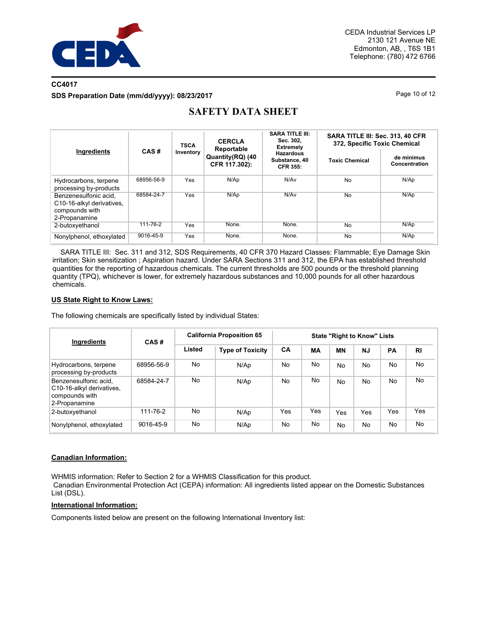

### **CC4017 SDS Preparation Date (mm/dd/yyyy): 08/23/2017** Page 10 of 12

|                                                                                       |            | <b>TSCA</b> | <b>CERCLA</b><br>Reportable       | <b>SARA TITLE III:</b><br>Sec. 302.<br><b>Extremely</b> | SARA TITLE III: Sec. 313, 40 CFR<br>372, Specific Toxic Chemical |                             |  |
|---------------------------------------------------------------------------------------|------------|-------------|-----------------------------------|---------------------------------------------------------|------------------------------------------------------------------|-----------------------------|--|
| Ingredients                                                                           | CAS#       | Inventory   | Quantity(RQ) (40<br>CFR 117.302): | <b>Hazardous</b><br>Substance, 40<br><b>CFR 355:</b>    | <b>Toxic Chemical</b>                                            | de minimus<br>Concentration |  |
| Hydrocarbons, terpene<br>processing by-products                                       | 68956-56-9 | Yes         | N/Ap                              | N/A <sub>v</sub>                                        | <b>No</b>                                                        | N/Ap                        |  |
| Benzenesulfonic acid.<br>C10-16-alkyl derivatives,<br>compounds with<br>2-Propanamine | 68584-24-7 | Yes         | N/Ap                              | N/Av                                                    | <b>No</b>                                                        | N/Ap                        |  |
| 2-butoxyethanol                                                                       | 111-76-2   | Yes         | None.                             | None.                                                   | <b>No</b>                                                        | N/AD                        |  |
| Nonylphenol, ethoxylated                                                              | 9016-45-9  | Yes         | None.                             | None.                                                   | No                                                               | N/Ap                        |  |

# **SAFETY DATA SHEET**

 SARA TITLE III: Sec. 311 and 312, SDS Requirements, 40 CFR 370 Hazard Classes: Flammable; Eye Damage Skin irritation; Skin sensitization ; Aspiration hazard. Under SARA Sections 311 and 312, the EPA has established threshold quantities for the reporting of hazardous chemicals. The current thresholds are 500 pounds or the threshold planning quantity (TPQ), whichever is lower, for extremely hazardous substances and 10,000 pounds for all other hazardous chemicals.

### **US State Right to Know Laws:**

The following chemicals are specifically listed by individual States:

| Ingredients                                                                           | CAS#       | <b>California Proposition 65</b> | <b>State "Right to Know" Lists</b> |                |           |           |                |                |           |
|---------------------------------------------------------------------------------------|------------|----------------------------------|------------------------------------|----------------|-----------|-----------|----------------|----------------|-----------|
|                                                                                       |            | Listed                           | <b>Type of Toxicity</b>            | CA             | <b>MA</b> | <b>MN</b> | <b>NJ</b>      | PA             | <b>RI</b> |
| Hydrocarbons, terpene<br>processing by-products                                       | 68956-56-9 | No                               | N/Ap                               | No             | No        | <b>No</b> | <b>No</b>      | <b>No</b>      | No.       |
| Benzenesulfonic acid.<br>C10-16-alkyl derivatives.<br>compounds with<br>2-Propanamine | 68584-24-7 | No                               | N/Ap                               | N <sub>o</sub> | No        | <b>No</b> | N <sub>o</sub> | <b>No</b>      | No.       |
| 2-butoxyethanol                                                                       | 111-76-2   | No                               | N/Ap                               | Yes            | Yes       | Yes       | Yes            | Yes            | Yes       |
| Nonylphenol, ethoxylated                                                              | 9016-45-9  | No                               | N/Ap                               | No             | No        | <b>No</b> | N <sub>o</sub> | N <sub>0</sub> | No        |

### **Canadian Information:**

WHMIS information: Refer to Section 2 for a WHMIS Classification for this product.

 Canadian Environmental Protection Act (CEPA) information: All ingredients listed appear on the Domestic Substances List (DSL).

### **International Information:**

Components listed below are present on the following International Inventory list: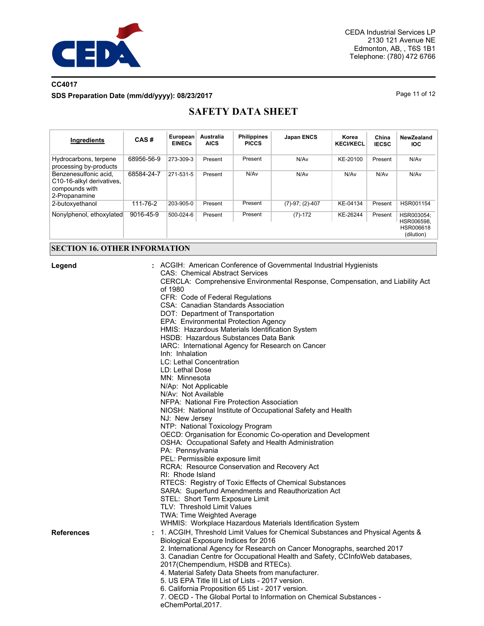

# **CC4017 SDS Preparation Date (mm/dd/yyyy): 08/23/2017** Page 11 of 12

# **SAFETY DATA SHEET**

| Ingredients                                                                           | CAS#       | European<br><b>EINECs</b> | Australia<br><b>AICS</b> | <b>Philippines</b><br><b>PICCS</b> | <b>Japan ENCS</b>    | Korea<br><b>KECI/KECL</b> | China<br><b>IECSC</b> | NewZealand<br>IOC.                                  |
|---------------------------------------------------------------------------------------|------------|---------------------------|--------------------------|------------------------------------|----------------------|---------------------------|-----------------------|-----------------------------------------------------|
| Hydrocarbons, terpene<br>processing by-products                                       | 68956-56-9 | 273-309-3                 | Present                  | Present                            | N/Av                 | KE-20100                  | Present               | N/Av                                                |
| Benzenesulfonic acid,<br>C10-16-alkyl derivatives,<br>compounds with<br>2-Propanamine | 68584-24-7 | 271-531-5                 | Present                  | N/Av                               | N/Av                 | N/Av                      | N/Av                  | N/Av                                                |
| 2-butoxyethanol                                                                       | 111-76-2   | 203-905-0                 | Present                  | Present                            | $(7)-97$ ; $(2)-407$ | KE-04134                  | Present               | HSR001154                                           |
| Nonylphenol, ethoxylated                                                              | 9016-45-9  | 500-024-6                 | Present                  | Present                            | $(7)-172$            | KE-26244                  | Present               | HSR003054:<br>HSR006598.<br>HSR006618<br>(dilution) |

# **SECTION 16. OTHER INFORMATION**

| Legend            | : ACGIH: American Conference of Governmental Industrial Hygienists<br><b>CAS: Chemical Abstract Services</b> |
|-------------------|--------------------------------------------------------------------------------------------------------------|
|                   | CERCLA: Comprehensive Environmental Response, Compensation, and Liability Act                                |
|                   | of 1980                                                                                                      |
|                   | CFR: Code of Federal Regulations                                                                             |
|                   | CSA: Canadian Standards Association                                                                          |
|                   | DOT: Department of Transportation                                                                            |
|                   | EPA: Environmental Protection Agency                                                                         |
|                   | HMIS: Hazardous Materials Identification System<br>HSDB: Hazardous Substances Data Bank                      |
|                   | IARC: International Agency for Research on Cancer                                                            |
|                   | Inh: Inhalation                                                                                              |
|                   | LC: Lethal Concentration                                                                                     |
|                   | LD: Lethal Dose                                                                                              |
|                   | MN: Minnesota                                                                                                |
|                   | N/Ap: Not Applicable                                                                                         |
|                   | N/Av: Not Available                                                                                          |
|                   | NFPA: National Fire Protection Association                                                                   |
|                   | NIOSH: National Institute of Occupational Safety and Health                                                  |
|                   | NJ: New Jersey                                                                                               |
|                   | NTP: National Toxicology Program                                                                             |
|                   | OECD: Organisation for Economic Co-operation and Development                                                 |
|                   | OSHA: Occupational Safety and Health Administration                                                          |
|                   | PA: Pennsylvania                                                                                             |
|                   | PEL: Permissible exposure limit                                                                              |
|                   | RCRA: Resource Conservation and Recovery Act                                                                 |
|                   | RI: Rhode Island                                                                                             |
|                   | RTECS: Registry of Toxic Effects of Chemical Substances                                                      |
|                   | SARA: Superfund Amendments and Reauthorization Act                                                           |
|                   | STEL: Short Term Exposure Limit                                                                              |
|                   | TLV: Threshold Limit Values<br>TWA: Time Weighted Average                                                    |
|                   | WHMIS: Workplace Hazardous Materials Identification System                                                   |
| <b>References</b> | 1. ACGIH, Threshold Limit Values for Chemical Substances and Physical Agents &<br>÷.                         |
|                   | Biological Exposure Indices for 2016                                                                         |
|                   | 2. International Agency for Research on Cancer Monographs, searched 2017                                     |
|                   | 3. Canadian Centre for Occupational Health and Safety, CCInfoWeb databases,                                  |
|                   | 2017(Chempendium, HSDB and RTECs).                                                                           |
|                   | 4. Material Safety Data Sheets from manufacturer.                                                            |
|                   | 5. US EPA Title III List of Lists - 2017 version.                                                            |
|                   | 6. California Proposition 65 List - 2017 version.                                                            |
|                   | 7. OECD - The Global Portal to Information on Chemical Substances -<br>eChemPortal, 2017.                    |